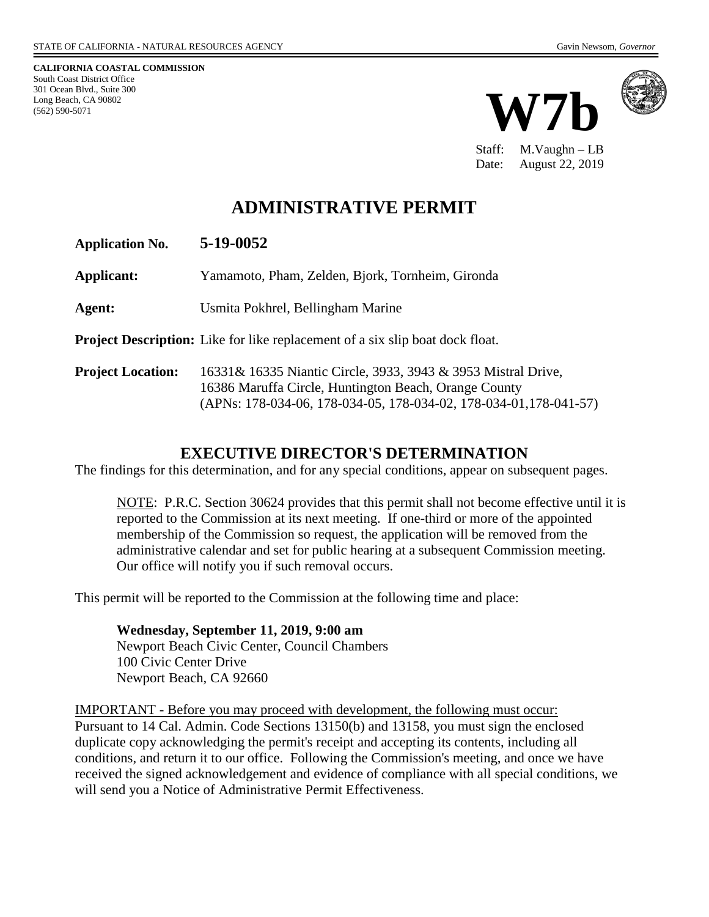**CALIFORNIA COASTAL COMMISSION** South Coast District Office 301 Ocean Blvd., Suite 300 Long Beach, CA 90802 (562) 590-5071





Staff: M.Vaughn – LB Date: August 22, 2019

# **ADMINISTRATIVE PERMIT**

**Application No. 5-19-0052**

**Applicant:** Yamamoto, Pham, Zelden, Bjork, Tornheim, Gironda

**Agent:** Usmita Pokhrel, Bellingham Marine

**Project Description:** Like for like replacement of a six slip boat dock float.

**Project Location:** 16331& 16335 Niantic Circle, 3933, 3943 & 3953 Mistral Drive, 16386 Maruffa Circle, Huntington Beach, Orange County (APNs: 178-034-06, 178-034-05, 178-034-02, 178-034-01,178-041-57)

### **EXECUTIVE DIRECTOR'S DETERMINATION**

The findings for this determination, and for any special conditions, appear on subsequent pages.

NOTE: P.R.C. Section 30624 provides that this permit shall not become effective until it is reported to the Commission at its next meeting. If one-third or more of the appointed membership of the Commission so request, the application will be removed from the administrative calendar and set for public hearing at a subsequent Commission meeting. Our office will notify you if such removal occurs.

This permit will be reported to the Commission at the following time and place:

**Wednesday, September 11, 2019, 9:00 am** Newport Beach Civic Center, Council Chambers 100 Civic Center Drive Newport Beach, CA 92660

IMPORTANT - Before you may proceed with development, the following must occur: Pursuant to 14 Cal. Admin. Code Sections 13150(b) and 13158, you must sign the enclosed duplicate copy acknowledging the permit's receipt and accepting its contents, including all conditions, and return it to our office. Following the Commission's meeting, and once we have received the signed acknowledgement and evidence of compliance with all special conditions, we will send you a Notice of Administrative Permit Effectiveness.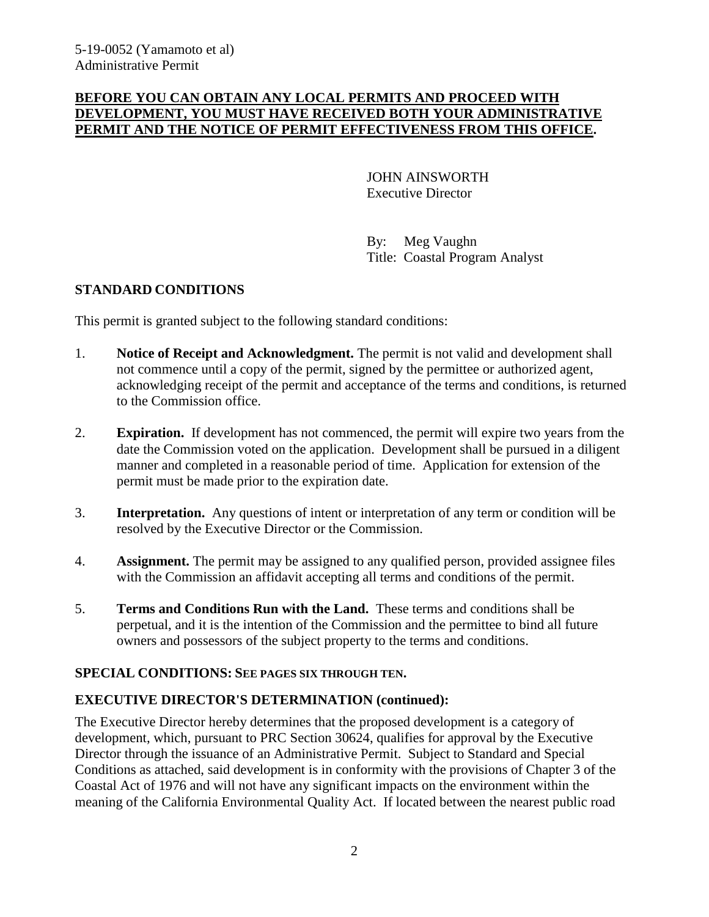#### **BEFORE YOU CAN OBTAIN ANY LOCAL PERMITS AND PROCEED WITH DEVELOPMENT, YOU MUST HAVE RECEIVED BOTH YOUR ADMINISTRATIVE PERMIT AND THE NOTICE OF PERMIT EFFECTIVENESS FROM THIS OFFICE.**

JOHN AINSWORTH Executive Director

By: Meg Vaughn Title: Coastal Program Analyst

### **STANDARD CONDITIONS**

This permit is granted subject to the following standard conditions:

- 1. **Notice of Receipt and Acknowledgment.** The permit is not valid and development shall not commence until a copy of the permit, signed by the permittee or authorized agent, acknowledging receipt of the permit and acceptance of the terms and conditions, is returned to the Commission office.
- 2. **Expiration.** If development has not commenced, the permit will expire two years from the date the Commission voted on the application. Development shall be pursued in a diligent manner and completed in a reasonable period of time. Application for extension of the permit must be made prior to the expiration date.
- 3. **Interpretation.** Any questions of intent or interpretation of any term or condition will be resolved by the Executive Director or the Commission.
- 4. **Assignment.** The permit may be assigned to any qualified person, provided assignee files with the Commission an affidavit accepting all terms and conditions of the permit.
- 5. **Terms and Conditions Run with the Land.** These terms and conditions shall be perpetual, and it is the intention of the Commission and the permittee to bind all future owners and possessors of the subject property to the terms and conditions.

### **SPECIAL CONDITIONS: SEE PAGES SIX THROUGH TEN.**

### **EXECUTIVE DIRECTOR'S DETERMINATION (continued):**

The Executive Director hereby determines that the proposed development is a category of development, which, pursuant to PRC Section 30624, qualifies for approval by the Executive Director through the issuance of an Administrative Permit. Subject to Standard and Special Conditions as attached, said development is in conformity with the provisions of Chapter 3 of the Coastal Act of 1976 and will not have any significant impacts on the environment within the meaning of the California Environmental Quality Act. If located between the nearest public road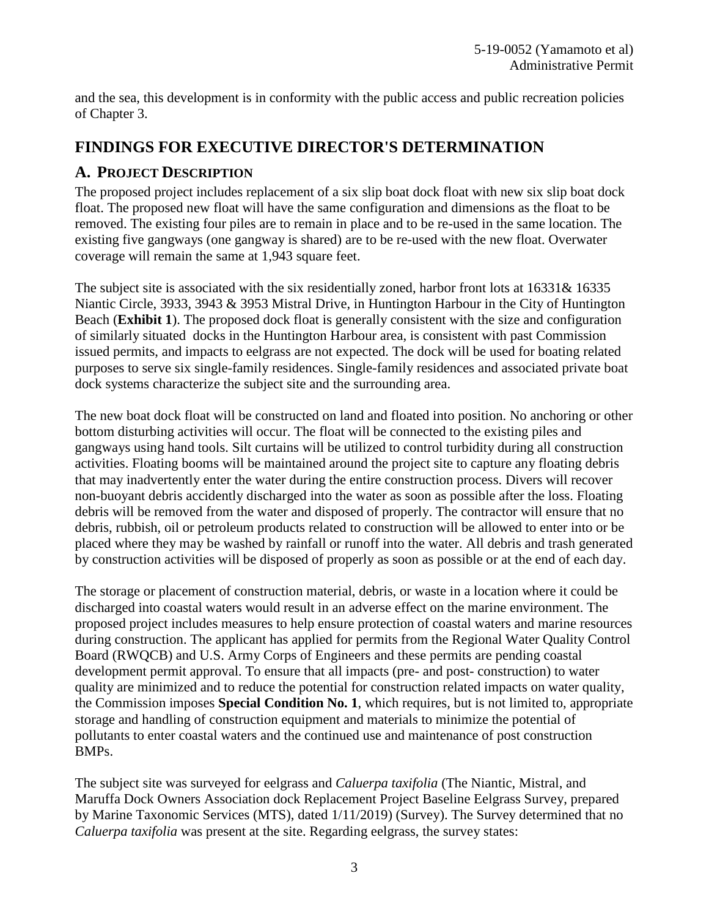and the sea, this development is in conformity with the public access and public recreation policies of Chapter 3.

## **FINDINGS FOR EXECUTIVE DIRECTOR'S DETERMINATION**

### **A. PROJECT DESCRIPTION**

The proposed project includes replacement of a six slip boat dock float with new six slip boat dock float. The proposed new float will have the same configuration and dimensions as the float to be removed. The existing four piles are to remain in place and to be re-used in the same location. The existing five gangways (one gangway is shared) are to be re-used with the new float. Overwater coverage will remain the same at 1,943 square feet.

The subject site is associated with the six residentially zoned, harbor front lots at 16331& 16335 Niantic Circle, 3933, 3943 & 3953 Mistral Drive, in Huntington Harbour in the City of Huntington Beach (**Exhibit 1**). The proposed dock float is generally consistent with the size and configuration of similarly situated docks in the Huntington Harbour area, is consistent with past Commission issued permits, and impacts to eelgrass are not expected. The dock will be used for boating related purposes to serve six single-family residences. Single-family residences and associated private boat dock systems characterize the subject site and the surrounding area.

The new boat dock float will be constructed on land and floated into position. No anchoring or other bottom disturbing activities will occur. The float will be connected to the existing piles and gangways using hand tools. Silt curtains will be utilized to control turbidity during all construction activities. Floating booms will be maintained around the project site to capture any floating debris that may inadvertently enter the water during the entire construction process. Divers will recover non-buoyant debris accidently discharged into the water as soon as possible after the loss. Floating debris will be removed from the water and disposed of properly. The contractor will ensure that no debris, rubbish, oil or petroleum products related to construction will be allowed to enter into or be placed where they may be washed by rainfall or runoff into the water. All debris and trash generated by construction activities will be disposed of properly as soon as possible or at the end of each day.

The storage or placement of construction material, debris, or waste in a location where it could be discharged into coastal waters would result in an adverse effect on the marine environment. The proposed project includes measures to help ensure protection of coastal waters and marine resources during construction. The applicant has applied for permits from the Regional Water Quality Control Board (RWQCB) and U.S. Army Corps of Engineers and these permits are pending coastal development permit approval. To ensure that all impacts (pre- and post- construction) to water quality are minimized and to reduce the potential for construction related impacts on water quality, the Commission imposes **Special Condition No. 1**, which requires, but is not limited to, appropriate storage and handling of construction equipment and materials to minimize the potential of pollutants to enter coastal waters and the continued use and maintenance of post construction BMPs.

The subject site was surveyed for eelgrass and *Caluerpa taxifolia* (The Niantic, Mistral, and Maruffa Dock Owners Association dock Replacement Project Baseline Eelgrass Survey, prepared by Marine Taxonomic Services (MTS), dated 1/11/2019) (Survey). The Survey determined that no *Caluerpa taxifolia* was present at the site. Regarding eelgrass, the survey states: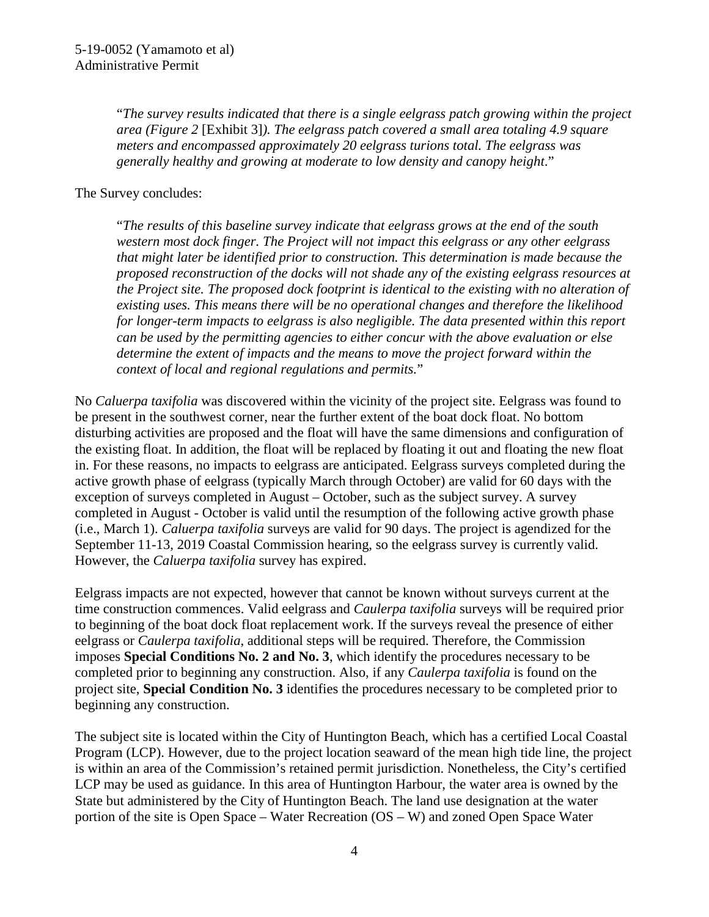"*The survey results indicated that there is a single eelgrass patch growing within the project area (Figure 2* [Exhibit 3]*). The eelgrass patch covered a small area totaling 4.9 square meters and encompassed approximately 20 eelgrass turions total. The eelgrass was generally healthy and growing at moderate to low density and canopy height*."

#### The Survey concludes:

"*The results of this baseline survey indicate that eelgrass grows at the end of the south western most dock finger. The Project will not impact this eelgrass or any other eelgrass that might later be identified prior to construction. This determination is made because the proposed reconstruction of the docks will not shade any of the existing eelgrass resources at the Project site. The proposed dock footprint is identical to the existing with no alteration of existing uses. This means there will be no operational changes and therefore the likelihood for longer-term impacts to eelgrass is also negligible. The data presented within this report can be used by the permitting agencies to either concur with the above evaluation or else determine the extent of impacts and the means to move the project forward within the context of local and regional regulations and permits.*"

No *Caluerpa taxifolia* was discovered within the vicinity of the project site. Eelgrass was found to be present in the southwest corner, near the further extent of the boat dock float. No bottom disturbing activities are proposed and the float will have the same dimensions and configuration of the existing float. In addition, the float will be replaced by floating it out and floating the new float in. For these reasons, no impacts to eelgrass are anticipated. Eelgrass surveys completed during the active growth phase of eelgrass (typically March through October) are valid for 60 days with the exception of surveys completed in August – October, such as the subject survey. A survey completed in August - October is valid until the resumption of the following active growth phase (i.e., March 1). *Caluerpa taxifolia* surveys are valid for 90 days. The project is agendized for the September 11-13, 2019 Coastal Commission hearing, so the eelgrass survey is currently valid. However, the *Caluerpa taxifolia* survey has expired.

Eelgrass impacts are not expected, however that cannot be known without surveys current at the time construction commences. Valid eelgrass and *Caulerpa taxifolia* surveys will be required prior to beginning of the boat dock float replacement work. If the surveys reveal the presence of either eelgrass or *Caulerpa taxifolia*, additional steps will be required. Therefore, the Commission imposes **Special Conditions No. 2 and No. 3**, which identify the procedures necessary to be completed prior to beginning any construction. Also, if any *Caulerpa taxifolia* is found on the project site, **Special Condition No. 3** identifies the procedures necessary to be completed prior to beginning any construction.

The subject site is located within the City of Huntington Beach, which has a certified Local Coastal Program (LCP). However, due to the project location seaward of the mean high tide line, the project is within an area of the Commission's retained permit jurisdiction. Nonetheless, the City's certified LCP may be used as guidance. In this area of Huntington Harbour, the water area is owned by the State but administered by the City of Huntington Beach. The land use designation at the water portion of the site is Open Space – Water Recreation (OS – W) and zoned Open Space Water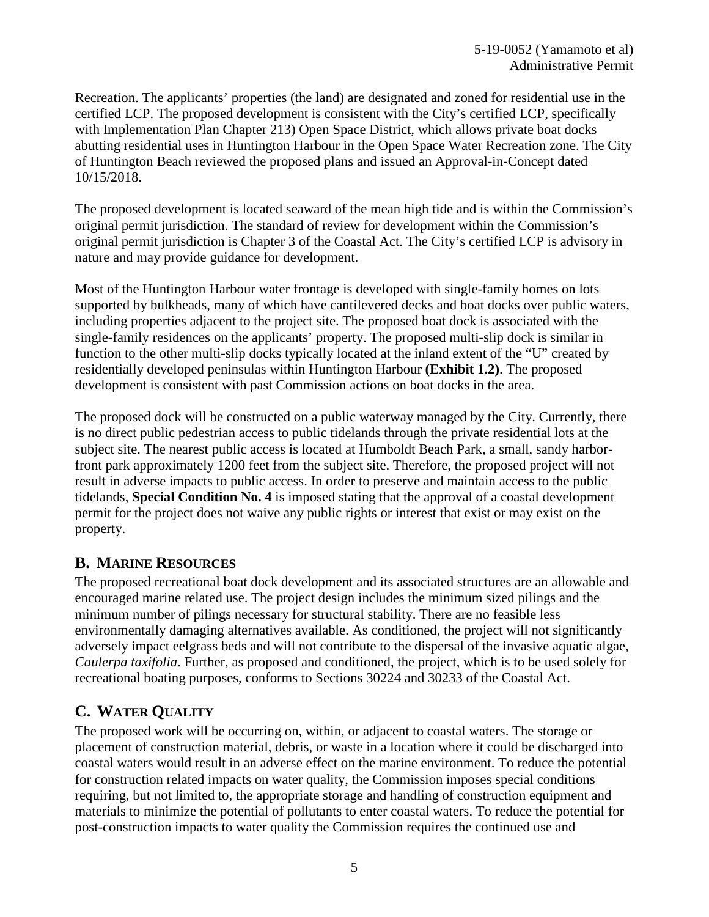Recreation. The applicants' properties (the land) are designated and zoned for residential use in the certified LCP. The proposed development is consistent with the City's certified LCP, specifically with Implementation Plan Chapter 213) Open Space District, which allows private boat docks abutting residential uses in Huntington Harbour in the Open Space Water Recreation zone. The City of Huntington Beach reviewed the proposed plans and issued an Approval-in-Concept dated 10/15/2018.

The proposed development is located seaward of the mean high tide and is within the Commission's original permit jurisdiction. The standard of review for development within the Commission's original permit jurisdiction is Chapter 3 of the Coastal Act. The City's certified LCP is advisory in nature and may provide guidance for development.

Most of the Huntington Harbour water frontage is developed with single-family homes on lots supported by bulkheads, many of which have cantilevered decks and boat docks over public waters, including properties adjacent to the project site. The proposed boat dock is associated with the single-family residences on the applicants' property. The proposed multi-slip dock is similar in function to the other multi-slip docks typically located at the inland extent of the "U" created by residentially developed peninsulas within Huntington Harbour **(Exhibit 1.2)**. The proposed development is consistent with past Commission actions on boat docks in the area.

The proposed dock will be constructed on a public waterway managed by the City. Currently, there is no direct public pedestrian access to public tidelands through the private residential lots at the subject site. The nearest public access is located at Humboldt Beach Park, a small, sandy harborfront park approximately 1200 feet from the subject site. Therefore, the proposed project will not result in adverse impacts to public access. In order to preserve and maintain access to the public tidelands, **Special Condition No. 4** is imposed stating that the approval of a coastal development permit for the project does not waive any public rights or interest that exist or may exist on the property.

## **B. MARINE RESOURCES**

The proposed recreational boat dock development and its associated structures are an allowable and encouraged marine related use. The project design includes the minimum sized pilings and the minimum number of pilings necessary for structural stability. There are no feasible less environmentally damaging alternatives available. As conditioned, the project will not significantly adversely impact eelgrass beds and will not contribute to the dispersal of the invasive aquatic algae, *Caulerpa taxifolia*. Further, as proposed and conditioned, the project, which is to be used solely for recreational boating purposes, conforms to Sections 30224 and 30233 of the Coastal Act.

# **C. WATER QUALITY**

The proposed work will be occurring on, within, or adjacent to coastal waters. The storage or placement of construction material, debris, or waste in a location where it could be discharged into coastal waters would result in an adverse effect on the marine environment. To reduce the potential for construction related impacts on water quality, the Commission imposes special conditions requiring, but not limited to, the appropriate storage and handling of construction equipment and materials to minimize the potential of pollutants to enter coastal waters. To reduce the potential for post-construction impacts to water quality the Commission requires the continued use and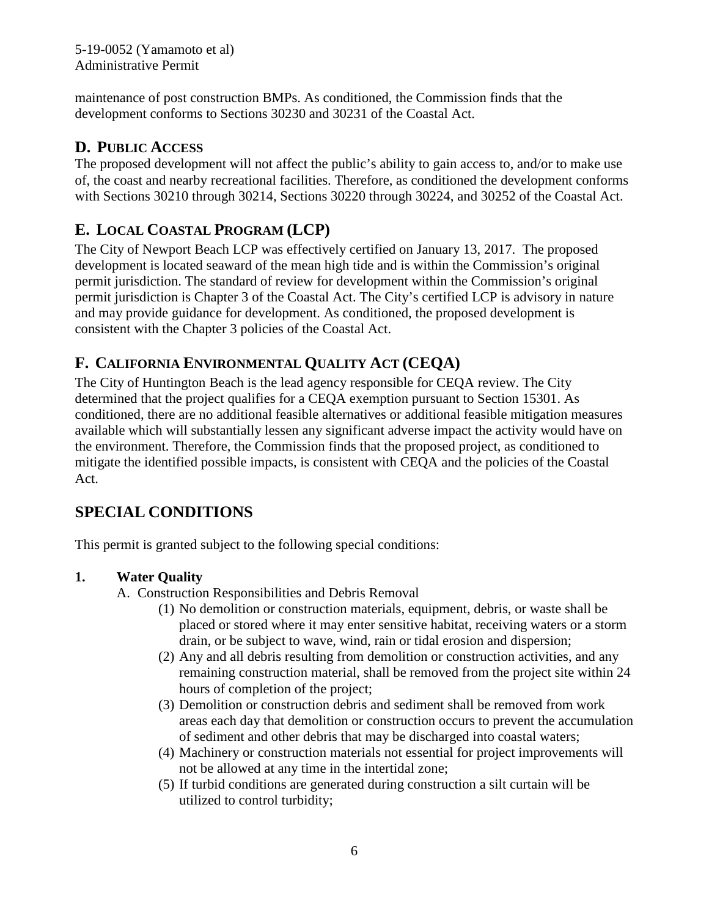5-19-0052 (Yamamoto et al) Administrative Permit

maintenance of post construction BMPs. As conditioned, the Commission finds that the development conforms to Sections 30230 and 30231 of the Coastal Act.

## **D. PUBLIC ACCESS**

The proposed development will not affect the public's ability to gain access to, and/or to make use of, the coast and nearby recreational facilities. Therefore, as conditioned the development conforms with Sections 30210 through 30214, Sections 30220 through 30224, and 30252 of the Coastal Act.

## **E. LOCAL COASTAL PROGRAM (LCP)**

The City of Newport Beach LCP was effectively certified on January 13, 2017. The proposed development is located seaward of the mean high tide and is within the Commission's original permit jurisdiction. The standard of review for development within the Commission's original permit jurisdiction is Chapter 3 of the Coastal Act. The City's certified LCP is advisory in nature and may provide guidance for development. As conditioned, the proposed development is consistent with the Chapter 3 policies of the Coastal Act.

# **F. CALIFORNIA ENVIRONMENTAL QUALITY ACT (CEQA)**

The City of Huntington Beach is the lead agency responsible for CEQA review. The City determined that the project qualifies for a CEQA exemption pursuant to Section 15301. As conditioned, there are no additional feasible alternatives or additional feasible mitigation measures available which will substantially lessen any significant adverse impact the activity would have on the environment. Therefore, the Commission finds that the proposed project, as conditioned to mitigate the identified possible impacts, is consistent with CEQA and the policies of the Coastal Act.

# **SPECIAL CONDITIONS**

This permit is granted subject to the following special conditions:

### **1. Water Quality**

- A. Construction Responsibilities and Debris Removal
	- (1) No demolition or construction materials, equipment, debris, or waste shall be placed or stored where it may enter sensitive habitat, receiving waters or a storm drain, or be subject to wave, wind, rain or tidal erosion and dispersion;
	- (2) Any and all debris resulting from demolition or construction activities, and any remaining construction material, shall be removed from the project site within 24 hours of completion of the project;
	- (3) Demolition or construction debris and sediment shall be removed from work areas each day that demolition or construction occurs to prevent the accumulation of sediment and other debris that may be discharged into coastal waters;
	- (4) Machinery or construction materials not essential for project improvements will not be allowed at any time in the intertidal zone;
	- (5) If turbid conditions are generated during construction a silt curtain will be utilized to control turbidity;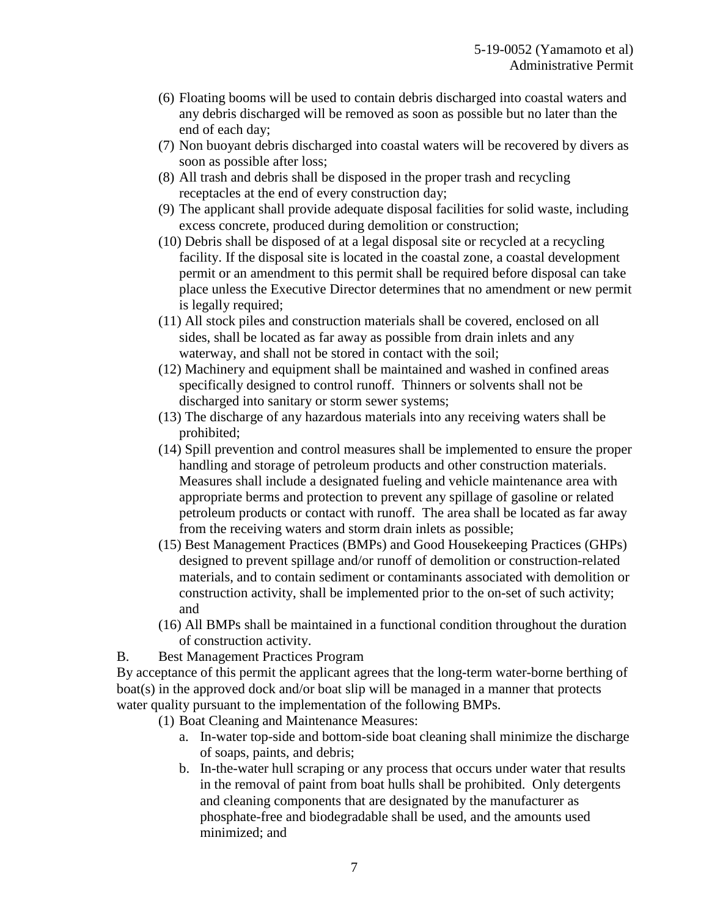- (6) Floating booms will be used to contain debris discharged into coastal waters and any debris discharged will be removed as soon as possible but no later than the end of each day;
- (7) Non buoyant debris discharged into coastal waters will be recovered by divers as soon as possible after loss;
- (8) All trash and debris shall be disposed in the proper trash and recycling receptacles at the end of every construction day;
- (9) The applicant shall provide adequate disposal facilities for solid waste, including excess concrete, produced during demolition or construction;
- (10) Debris shall be disposed of at a legal disposal site or recycled at a recycling facility. If the disposal site is located in the coastal zone, a coastal development permit or an amendment to this permit shall be required before disposal can take place unless the Executive Director determines that no amendment or new permit is legally required;
- (11) All stock piles and construction materials shall be covered, enclosed on all sides, shall be located as far away as possible from drain inlets and any waterway, and shall not be stored in contact with the soil;
- (12) Machinery and equipment shall be maintained and washed in confined areas specifically designed to control runoff. Thinners or solvents shall not be discharged into sanitary or storm sewer systems;
- (13) The discharge of any hazardous materials into any receiving waters shall be prohibited;
- (14) Spill prevention and control measures shall be implemented to ensure the proper handling and storage of petroleum products and other construction materials. Measures shall include a designated fueling and vehicle maintenance area with appropriate berms and protection to prevent any spillage of gasoline or related petroleum products or contact with runoff. The area shall be located as far away from the receiving waters and storm drain inlets as possible;
- (15) Best Management Practices (BMPs) and Good Housekeeping Practices (GHPs) designed to prevent spillage and/or runoff of demolition or construction-related materials, and to contain sediment or contaminants associated with demolition or construction activity, shall be implemented prior to the on-set of such activity; and
- (16) All BMPs shall be maintained in a functional condition throughout the duration of construction activity.
- B. Best Management Practices Program

By acceptance of this permit the applicant agrees that the long-term water-borne berthing of boat(s) in the approved dock and/or boat slip will be managed in a manner that protects water quality pursuant to the implementation of the following BMPs.

- (1) Boat Cleaning and Maintenance Measures:
	- a. In-water top-side and bottom-side boat cleaning shall minimize the discharge of soaps, paints, and debris;
	- b. In-the-water hull scraping or any process that occurs under water that results in the removal of paint from boat hulls shall be prohibited. Only detergents and cleaning components that are designated by the manufacturer as phosphate-free and biodegradable shall be used, and the amounts used minimized; and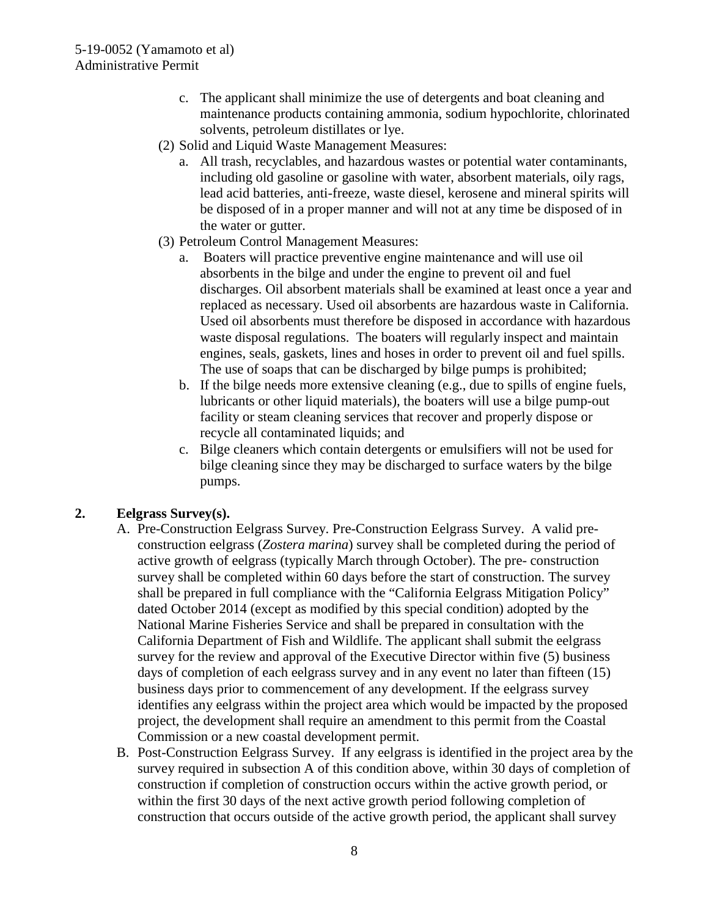- c. The applicant shall minimize the use of detergents and boat cleaning and maintenance products containing ammonia, sodium hypochlorite, chlorinated solvents, petroleum distillates or lye.
- (2) Solid and Liquid Waste Management Measures:
	- a. All trash, recyclables, and hazardous wastes or potential water contaminants, including old gasoline or gasoline with water, absorbent materials, oily rags, lead acid batteries, anti-freeze, waste diesel, kerosene and mineral spirits will be disposed of in a proper manner and will not at any time be disposed of in the water or gutter.
- (3) Petroleum Control Management Measures:
	- a. Boaters will practice preventive engine maintenance and will use oil absorbents in the bilge and under the engine to prevent oil and fuel discharges. Oil absorbent materials shall be examined at least once a year and replaced as necessary. Used oil absorbents are hazardous waste in California. Used oil absorbents must therefore be disposed in accordance with hazardous waste disposal regulations. The boaters will regularly inspect and maintain engines, seals, gaskets, lines and hoses in order to prevent oil and fuel spills. The use of soaps that can be discharged by bilge pumps is prohibited;
	- b. If the bilge needs more extensive cleaning (e.g., due to spills of engine fuels, lubricants or other liquid materials), the boaters will use a bilge pump-out facility or steam cleaning services that recover and properly dispose or recycle all contaminated liquids; and
	- c. Bilge cleaners which contain detergents or emulsifiers will not be used for bilge cleaning since they may be discharged to surface waters by the bilge pumps.

### **2. Eelgrass Survey(s).**

- A. Pre-Construction Eelgrass Survey. Pre-Construction Eelgrass Survey. A valid preconstruction eelgrass (*Zostera marina*) survey shall be completed during the period of active growth of eelgrass (typically March through October). The pre- construction survey shall be completed within 60 days before the start of construction. The survey shall be prepared in full compliance with the "California Eelgrass Mitigation Policy" dated October 2014 (except as modified by this special condition) adopted by the National Marine Fisheries Service and shall be prepared in consultation with the California Department of Fish and Wildlife. The applicant shall submit the eelgrass survey for the review and approval of the Executive Director within five (5) business days of completion of each eelgrass survey and in any event no later than fifteen (15) business days prior to commencement of any development. If the eelgrass survey identifies any eelgrass within the project area which would be impacted by the proposed project, the development shall require an amendment to this permit from the Coastal Commission or a new coastal development permit.
- B. Post-Construction Eelgrass Survey. If any eelgrass is identified in the project area by the survey required in subsection A of this condition above, within 30 days of completion of construction if completion of construction occurs within the active growth period, or within the first 30 days of the next active growth period following completion of construction that occurs outside of the active growth period, the applicant shall survey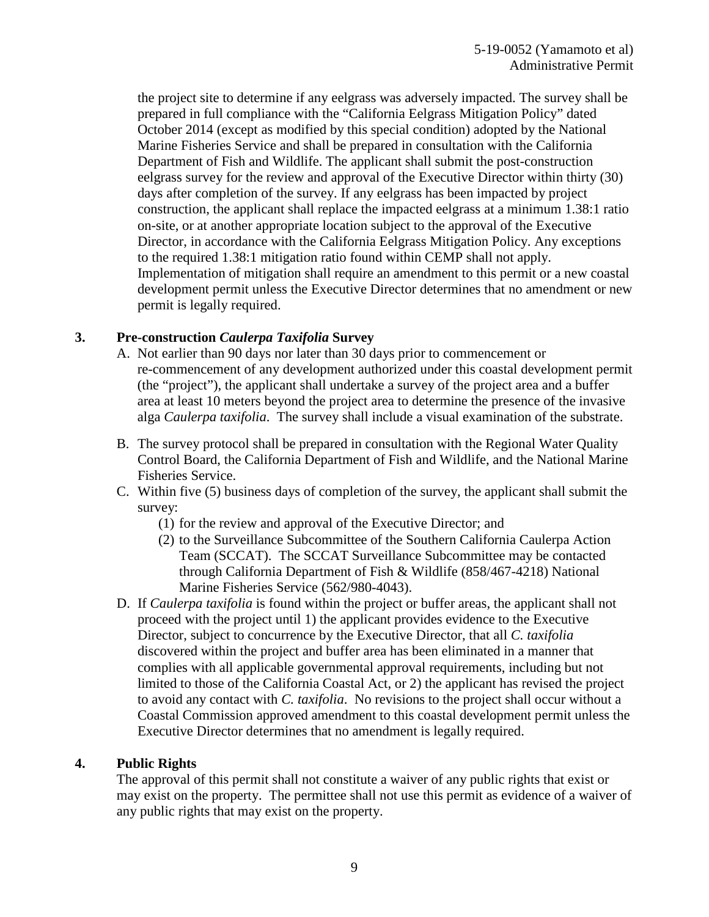the project site to determine if any eelgrass was adversely impacted. The survey shall be prepared in full compliance with the "California Eelgrass Mitigation Policy" dated October 2014 (except as modified by this special condition) adopted by the National Marine Fisheries Service and shall be prepared in consultation with the California Department of Fish and Wildlife. The applicant shall submit the post-construction eelgrass survey for the review and approval of the Executive Director within thirty (30) days after completion of the survey. If any eelgrass has been impacted by project construction, the applicant shall replace the impacted eelgrass at a minimum 1.38:1 ratio on-site, or at another appropriate location subject to the approval of the Executive Director, in accordance with the California Eelgrass Mitigation Policy. Any exceptions to the required 1.38:1 mitigation ratio found within CEMP shall not apply. Implementation of mitigation shall require an amendment to this permit or a new coastal development permit unless the Executive Director determines that no amendment or new permit is legally required.

### **3. Pre-construction** *Caulerpa Taxifolia* **Survey**

- A. Not earlier than 90 days nor later than 30 days prior to commencement or re-commencement of any development authorized under this coastal development permit (the "project"), the applicant shall undertake a survey of the project area and a buffer area at least 10 meters beyond the project area to determine the presence of the invasive alga *Caulerpa taxifolia*. The survey shall include a visual examination of the substrate.
- B. The survey protocol shall be prepared in consultation with the Regional Water Quality Control Board, the California Department of Fish and Wildlife, and the National Marine Fisheries Service.
- C. Within five (5) business days of completion of the survey, the applicant shall submit the survey:
	- (1) for the review and approval of the Executive Director; and
	- (2) to the Surveillance Subcommittee of the Southern California Caulerpa Action Team (SCCAT). The SCCAT Surveillance Subcommittee may be contacted through California Department of Fish & Wildlife (858/467-4218) National Marine Fisheries Service (562/980-4043).
- D. If *Caulerpa taxifolia* is found within the project or buffer areas, the applicant shall not proceed with the project until 1) the applicant provides evidence to the Executive Director, subject to concurrence by the Executive Director, that all *C. taxifolia* discovered within the project and buffer area has been eliminated in a manner that complies with all applicable governmental approval requirements, including but not limited to those of the California Coastal Act, or 2) the applicant has revised the project to avoid any contact with *C. taxifolia*. No revisions to the project shall occur without a Coastal Commission approved amendment to this coastal development permit unless the Executive Director determines that no amendment is legally required.

#### **4. Public Rights**

The approval of this permit shall not constitute a waiver of any public rights that exist or may exist on the property. The permittee shall not use this permit as evidence of a waiver of any public rights that may exist on the property.